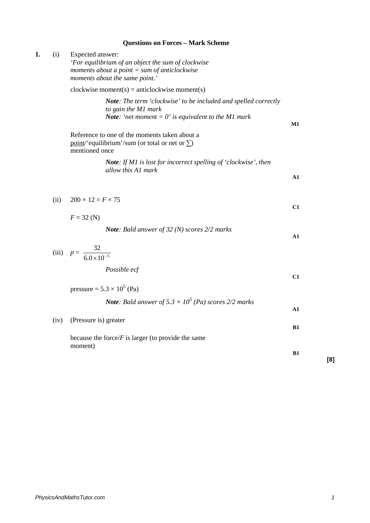## **Questions on Forces – Mark Scheme**

| 1. | (i)  | Expected answer:<br>'For equilibrium of an object the sum of clockwise<br>moments about a point $=$ sum of anticlockwise<br>moments about the same point.' |           |
|----|------|------------------------------------------------------------------------------------------------------------------------------------------------------------|-----------|
|    |      | $clockwise moment(s) = anticlockwise moment(s)$                                                                                                            |           |
|    |      | Note: The term 'clockwise' to be included and spelled correctly<br>to gain the M1 mark<br><b>Note:</b> 'net moment = $0$ ' is equivalent to the M1 mark    | M1        |
|    |      | Reference to one of the moments taken about a<br>point/'equilibrium'/sum (or total or net or $\Sigma$ )<br>mentioned once                                  |           |
|    |      | <b>Note:</b> If M1 is lost for incorrect spelling of 'clockwise', then<br>allow this A1 mark                                                               |           |
|    |      |                                                                                                                                                            | A1        |
|    | (ii) | $200 \times 12 = F \times 75$                                                                                                                              | C1        |
|    |      | $F = 32 \text{ (N)}$                                                                                                                                       |           |
|    |      | <b>Note:</b> Bald answer of 32 (N) scores $2/2$ marks                                                                                                      | A1        |
|    |      | (iii) $p = \frac{32}{6.0 \times 10^{-5}}$                                                                                                                  |           |
|    |      | Possible ecf                                                                                                                                               | C1        |
|    |      | pressure = $5.3 \times 10^5$ (Pa)                                                                                                                          |           |
|    |      | <b>Note:</b> Bald answer of $5.3 \times 10^5$ (Pa) scores 2/2 marks                                                                                        | A1        |
|    | (iv) | (Pressure is) greater                                                                                                                                      | <b>B1</b> |
|    |      | because the force/ $F$ is larger (to provide the same                                                                                                      |           |
|    |      | moment)                                                                                                                                                    | <b>B1</b> |

**[8]**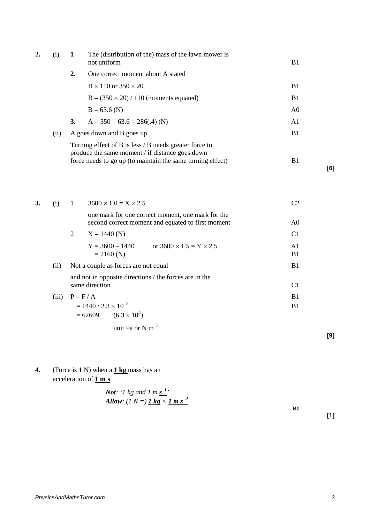| 2. | (1)  | 1  | The (distribution of the) mass of the lawn mower is<br>not uniform                                                                                                      | B1             |     |
|----|------|----|-------------------------------------------------------------------------------------------------------------------------------------------------------------------------|----------------|-----|
|    |      | 2. | One correct moment about A stated                                                                                                                                       |                |     |
|    |      |    | $B \times 110$ or $350 \times 20$                                                                                                                                       | B1             |     |
|    |      |    | $B = (350 \times 20) / 110$ (moments equated)                                                                                                                           | B <sub>1</sub> |     |
|    |      |    | $B = 63.6$ (N)                                                                                                                                                          | A <sub>0</sub> |     |
|    | (ii) | 3. | $A = 350 - 63.6 = 286(.4)$ (N)                                                                                                                                          | A1             |     |
|    |      |    | A goes down and B goes up                                                                                                                                               | B1             |     |
|    |      |    | Turning effect of B is less / B needs greater force to<br>produce the same moment / if distance goes down<br>force needs to go up (to maintain the same turning effect) | B1             | [6] |

| 3. | (i)   | $\mathbf{1}$ | $3600 \times 1.0 = X \times 2.5$                                                                       |                                  |
|----|-------|--------------|--------------------------------------------------------------------------------------------------------|----------------------------------|
|    |       |              | one mark for one correct moment, one mark for the<br>second correct moment and equated to first moment | A <sub>0</sub>                   |
|    |       | 2            | $X = 1440$ (N)                                                                                         | C <sub>1</sub>                   |
|    |       |              | or $3600 \times 1.5 = Y \times 2.5$<br>$Y = 3600 - 1440$<br>$= 2160$ (N)                               | A <sub>1</sub><br>B <sub>1</sub> |
|    | (ii)  |              | Not a couple as forces are not equal                                                                   | B1                               |
|    |       |              | and not in opposite directions / the forces are in the<br>same direction                               | C <sub>1</sub>                   |
|    | (iii) | $P = F / A$  |                                                                                                        | B1                               |
|    |       |              | $= 1440 / 2.3 \times 10^{-2}$<br>$= 62609$ $(6.3 \times 10^{4})$                                       | B <sub>1</sub>                   |

unit Pa or N  $m^{-2}$ 

**4.** (Force is 1 N) when a **1 kg** mass has an acceleration of **1 m s–**

**Not:** '1 kg and 1 m s<sup>-1</sup>'  
\n**Allow:** (1 N =) 
$$
\underline{1 \text{ kg}} \times \underline{1 \text{ m s}}^{-2}
$$

**B1**

**[9]**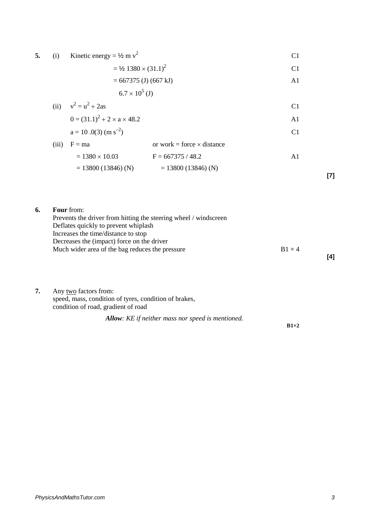| 5. (i) Kinetic energy = $\frac{1}{2}$ m v <sup>2</sup> |  |
|--------------------------------------------------------|--|
|--------------------------------------------------------|--|

 $=$   $\frac{1}{2}$  1380 × (31.1)<sup>2</sup> C1

$$
= 667375 (J) (667 kJ)
$$

$$
6.7 \times 10^5 \, \text{(J)}
$$

(ii) 
$$
v^2 = u^2 + 2as
$$
  
\n $0 = (31.1)^2 + 2 \times a \times 48.2$   
\n $a = 10.0(3) (m s^{-2})$   
\nCI  
\n $0.1$   
\nCI  
\n $0.1$ 

(iii) 
$$
F = ma
$$
 or work = force × distance  
= 1380 × 10.03  $F = 667375 / 48.2$  A1  
= 13800 (13846) (N) = 13800 (13846) (N)

**[7]**

| 6. | <b>Four</b> from:                                                |               |     |
|----|------------------------------------------------------------------|---------------|-----|
|    | Prevents the driver from hitting the steering wheel / windscreen |               |     |
|    | Deflates quickly to prevent whiplash                             |               |     |
|    | Increases the time/distance to stop                              |               |     |
|    | Decreases the (impact) force on the driver                       |               |     |
|    | Much wider area of the bag reduces the pressure                  | $B1 \times 4$ |     |
|    |                                                                  |               | [4] |
|    |                                                                  |               |     |

## **7.** Any <u>two</u> factors from: speed, mass, condition of tyres, condition of brakes, condition of road, gradient of road

|  | <b>Allow:</b> KE if neither mass nor speed is mentioned. |
|--|----------------------------------------------------------|
|--|----------------------------------------------------------|

**B1×2**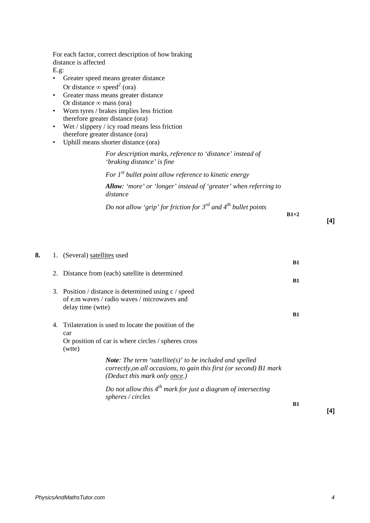For each factor, correct description of how braking distance is affected

E.g:

- Greater speed means greater distance Or distance  $\infty$  speed<sup>2</sup> (ora)
- Greater mass means greater distance Or distance  $\infty$  mass (ora)
- Worn tyres / brakes implies less friction therefore greater distance (ora)
- Wet / slippery / icy road means less friction therefore greater distance (ora)
- Uphill means shorter distance (ora)

*For description marks, reference to 'distance' instead of 'braking distance' is fine*

*For 1st bullet point allow reference to kinetic energy Allow: 'more' or 'longer' instead of 'greater' when referring to distance*

*Do not allow 'grip' for friction for 3rd and 4th bullet points*

**B1×2**

**[4]**

| 8. | 1. (Several) satellites used                                                                                                                                            |           |
|----|-------------------------------------------------------------------------------------------------------------------------------------------------------------------------|-----------|
|    | 2. Distance from (each) satellite is determined                                                                                                                         | <b>B1</b> |
|    | 3. Position / distance is determined using c / speed<br>of e.m waves / radio waves / microwaves and<br>delay time (wtte)                                                | <b>B1</b> |
|    |                                                                                                                                                                         | B1        |
|    | 4. Trilateration is used to locate the position of the<br>car                                                                                                           |           |
|    | Or position of car is where circles / spheres cross<br>(wtte)                                                                                                           |           |
|    | <b>Note:</b> The term 'satellite(s)' to be included and spelled<br>correctly, on all occasions, to gain this first (or second) B1 mark<br>(Deduct this mark only once.) |           |
|    | Do not allow this $4^{th}$ mark for just a diagram of intersecting<br>spheres / circles                                                                                 |           |
|    |                                                                                                                                                                         | <b>B1</b> |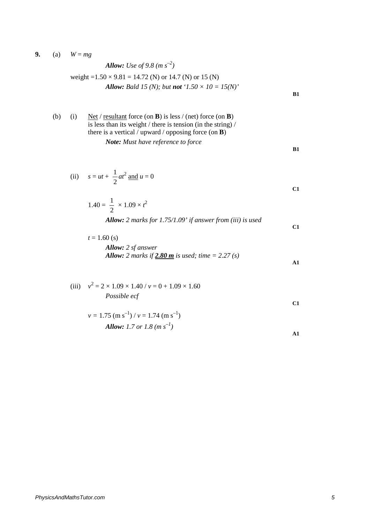**9.** (a)  $W = mg$ 

**Allow:** Use of 9.8 (
$$
m s^{-2}
$$
)  
weight =1.50 × 9.81 = 14.72 (N) or 14.7 (N) or 15 (N)  
**Allow:** Bald 15 (N); but **not** '1.50 × 10 = 15(N)'

| (b) | (1) | Net / resultant force (on <b>B</b> ) is less / (net) force (on <b>B</b> ) |    |
|-----|-----|---------------------------------------------------------------------------|----|
|     |     | is less than its weight / there is tension (in the string) /              |    |
|     |     | there is a vertical / upward / opposing force (on $\bf{B}$ )              |    |
|     |     | <b>Note:</b> Must have reference to force                                 |    |
|     |     |                                                                           | B1 |

(ii) 
$$
s = ut + \frac{1}{2}at^2
$$
 and  $u = 0$ 

$$
1.40 = \frac{1}{2} \times 1.09 \times t^2
$$
  
Allow: 2 marks for 1.75/1.09' if answer from (iii) is used

$$
t = 1.60 \text{ (s)}
$$
  
Allow: 2 sf answer  
Allow: 2 marks if 2.80 m is used; time = 2.27 (s)

$$
\frac{\text{max}}{2} \log \frac{\text{max}}{2} \log \text{max} \left( \frac{1}{2} \right)
$$

(iii) 
$$
v^2 = 2 \times 1.09 \times 1.40 / v = 0 + 1.09 \times 1.60
$$
  
\n*Possible ecf* C1

$$
v = 1.75 \text{ (m s}^{-1}) / v = 1.74 \text{ (m s}^{-1)}
$$
  
Allow: 1.7 or 1.8 (m s<sup>-1</sup>)

**C1**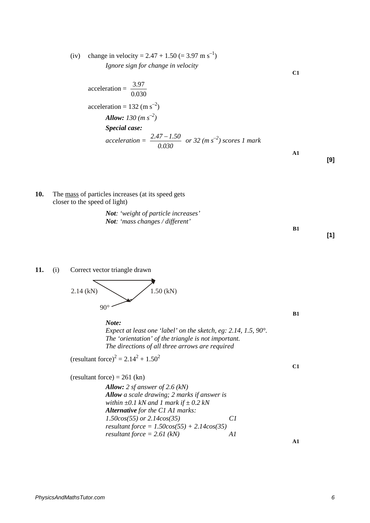(iv) change in velocity =  $2.47 + 1.50$  (=  $3.97$  m s<sup>-1</sup>) *Ignore sign for change in velocity*

acceleration = 
$$
\frac{3.97}{0.030}
$$
  
acceleration = 132 (m s<sup>-2</sup>)  
Allow: 130 (m s<sup>-2</sup>)  
Special case:  
acceleration = 
$$
\frac{2.47 - 1.50}{0.030}
$$
 or 32 (m s<sup>-2</sup>) scores 1 mark

**10.** The mass of particles increases (at its speed gets closer to the speed of light)

> *Not: 'weight of particle increases' Not: 'mass changes / different'*

## **11.** (i) Correct vector triangle drawn

2.14 (kN)  
 
$$
90^{\circ}
$$
 1.50 (kN)

*Note: Expect at least one 'label' on the sketch, eg: 2.14, 1.5, 90°. The 'orientation' of the triangle is not important. The directions of all three arrows are required*

$$
(resultant force)^2 = 2.14^2 + 1.50^2
$$

 $(resultant force) = 261 (kn)$ 

*Allow: 2 sf answer of 2.6 (kN) Allow a scale drawing; 2 marks if answer is within ±0.1 kN and 1 mark if ± 0.2 kN Alternative for the C1 A1 marks: 1.50cos(55) or 2.14cos(35) C1 resultant force = 1.50cos(55) + 2.14cos(35) resultant force = 2.61 (kN) A1*

**[9]**

**[1]**

**C1**

**B1**

**C1**

**A1**

**B1**

**A1**